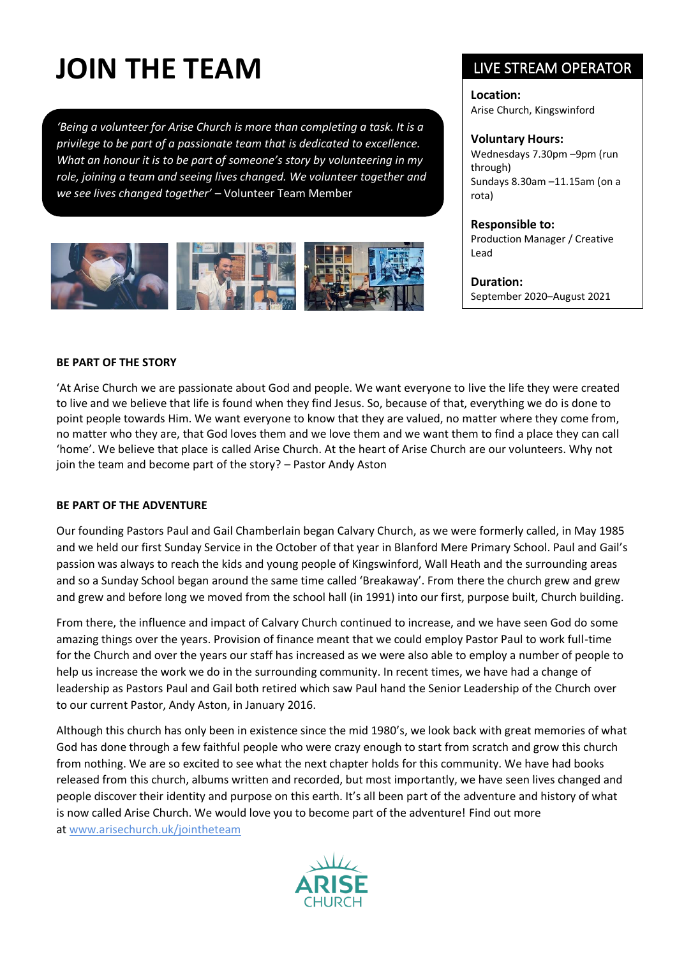# **JOIN THE TEAM**

*'Being a volunteer for Arise Church is more than completing a task. It is a privilege to be part of a passionate team that is dedicated to excellence. What an honour it is to be part of someone's story by volunteering in my role, joining a team and seeing lives changed. We volunteer together and we see lives changed together'* – Volunteer Team Member



# LIVE STREAM OPERATOR

**Location:** Arise Church, Kingswinford

#### **Voluntary Hours:**

Wednesdays 7.30pm –9pm (run through) Sundays 8.30am –11.15am (on a rota)

#### **Responsible to:**

Production Manager / Creative Lead

**Duration:** September 2020–August 2021

#### **BE PART OF THE STORY**

'At Arise Church we are passionate about God and people. We want everyone to live the life they were created to live and we believe that life is found when they find Jesus. So, because of that, everything we do is done to point people towards Him. We want everyone to know that they are valued, no matter where they come from, no matter who they are, that God loves them and we love them and we want them to find a place they can call 'home'. We believe that place is called Arise Church. At the heart of Arise Church are our volunteers. Why not join the team and become part of the story? – Pastor Andy Aston

#### **BE PART OF THE ADVENTURE**

Our founding Pastors Paul and Gail Chamberlain began Calvary Church, as we were formerly called, in May 1985 and we held our first Sunday Service in the October of that year in Blanford Mere Primary School. Paul and Gail's passion was always to reach the kids and young people of Kingswinford, Wall Heath and the surrounding areas and so a Sunday School began around the same time called 'Breakaway'. From there the church grew and grew and grew and before long we moved from the school hall (in 1991) into our first, purpose built, Church building.

From there, the influence and impact of Calvary Church continued to increase, and we have seen God do some amazing things over the years. Provision of finance meant that we could employ Pastor Paul to work full-time for the Church and over the years our staff has increased as we were also able to employ a number of people to help us increase the work we do in the surrounding community. In recent times, we have had a change of leadership as Pastors Paul and Gail both retired which saw Paul hand the Senior Leadership of the Church over to our current Pastor, Andy Aston, in January 2016.

Although this church has only been in existence since the mid 1980's, we look back with great memories of what God has done through a few faithful people who were crazy enough to start from scratch and grow this church from nothing. We are so excited to see what the next chapter holds for this community. We have had books released from this church, albums written and recorded, but most importantly, we have seen lives changed and people discover their identity and purpose on this earth. It's all been part of the adventure and history of what is now called Arise Church. We would love you to become part of the adventure! Find out more at [www.arisechurch.uk/jointheteam](http://www.arisechurch.uk/jointheteam)